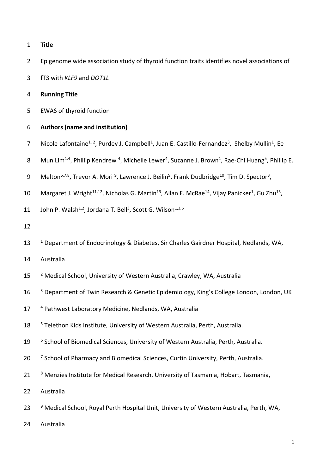## 1 **Title**

- 2 Epigenome wide association study of thyroid function traits identifies novel associations of
- 3 fT3 with *KLF9* and *DOT1L*

### 4 **Running Title**

5 EWAS of thyroid function

## 6 **Authors (name and institution)**

- 7 Nicole Lafontaine<sup>1, 2</sup>, Purdey J. Campbell<sup>1</sup>, Juan E. Castillo-Fernandez<sup>3</sup>, Shelby Mullin<sup>1</sup>, Ee
- 8 Mun Lim<sup>1,4</sup>, Phillip Kendrew <sup>4</sup>, Michelle Lewer<sup>4</sup>, Suzanne J. Brown<sup>1</sup>, Rae-Chi Huang<sup>5</sup>, Phillip E.
- 9 Melton<sup>6,7,8</sup>, Trevor A. Mori <sup>9</sup>, Lawrence J. Beilin<sup>9</sup>, Frank Dudbridge<sup>10</sup>, Tim D. Spector<sup>3</sup>,
- 10 Margaret J. Wright<sup>11,12</sup>, Nicholas G. Martin<sup>13</sup>, Allan F. McRae<sup>14</sup>, Vijay Panicker<sup>1</sup>, Gu Zhu<sup>13</sup>,

11 John P. Walsh<sup>1,2</sup>, Jordana T. Bell<sup>3</sup>, Scott G. Wilson<sup>1,3,6</sup>

- 12
- 13 <sup>1</sup> Department of Endocrinology & Diabetes, Sir Charles Gairdner Hospital, Nedlands, WA,
- 14 Australia
- 15 <sup>2</sup> Medical School, University of Western Australia, Crawley, WA, Australia
- <sup>3</sup> Department of Twin Research & Genetic Epidemiology, King's College London, London, UK
- 17 <sup>4</sup> Pathwest Laboratory Medicine, Nedlands, WA, Australia
- <sup>5</sup> 18 Telethon Kids Institute, University of Western Australia, Perth, Australia.
- 19 <sup>6</sup> School of Biomedical Sciences, University of Western Australia, Perth, Australia.
- 20 <sup>7</sup> School of Pharmacy and Biomedical Sciences, Curtin University, Perth, Australia.
- 21 8 Menzies Institute for Medical Research, University of Tasmania, Hobart, Tasmania,
- 22 Australia
- 23 <sup>9</sup> Medical School, Royal Perth Hospital Unit, University of Western Australia, Perth, WA,
- 24 Australia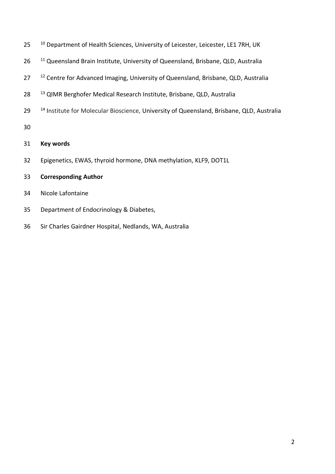| 25 | <sup>10</sup> Department of Health Sciences, University of Leicester, Leicester, LE1 7RH, UK |  |  |  |
|----|----------------------------------------------------------------------------------------------|--|--|--|
|----|----------------------------------------------------------------------------------------------|--|--|--|

- <sup>11</sup> Queensland Brain Institute, University of Queensland, Brisbane, QLD, Australia
- 27 <sup>12</sup> Centre for Advanced Imaging, University of Queensland, Brisbane, QLD, Australia
- <sup>13</sup> QIMR Berghofer Medical Research Institute, Brisbane, QLD, Australia
- <sup>14</sup> Institute for Molecular Bioscience, University of Queensland, Brisbane, QLD, Australia
- 
- **Key words**
- Epigenetics, EWAS, thyroid hormone, DNA methylation, KLF9, DOT1L
- **Corresponding Author**
- Nicole Lafontaine
- Department of Endocrinology & Diabetes,
- Sir Charles Gairdner Hospital, Nedlands, WA, Australia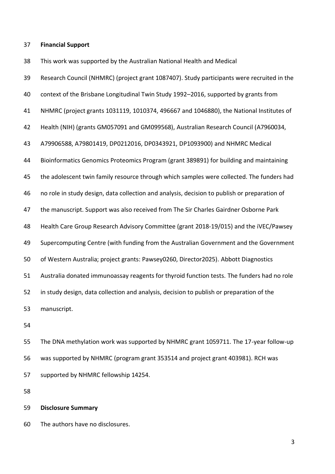#### **Financial Support**

This work was supported by the Australian National Health and Medical

 Research Council (NHMRC) (project grant 1087407). Study participants were recruited in the context of the Brisbane Longitudinal Twin Study 1992–2016, supported by grants from NHMRC (project grants 1031119, 1010374, 496667 and 1046880), the National Institutes of Health (NIH) (grants GM057091 and GM099568), Australian Research Council (A7960034, A79906588, A79801419, DP0212016, DP0343921, DP1093900) and NHMRC Medical Bioinformatics Genomics Proteomics Program (grant 389891) for building and maintaining 45 the adolescent twin family resource through which samples were collected. The funders had no role in study design, data collection and analysis, decision to publish or preparation of the manuscript. Support was also received from The Sir Charles Gairdner Osborne Park Health Care Group Research Advisory Committee (grant 2018-19/015) and the iVEC/Pawsey Supercomputing Centre (with funding from the Australian Government and the Government of Western Australia; project grants: Pawsey0260, Director2025). Abbott Diagnostics Australia donated immunoassay reagents for thyroid function tests. The funders had no role in study design, data collection and analysis, decision to publish or preparation of the manuscript.

 The DNA methylation work was supported by NHMRC grant 1059711. The 17-year follow-up was supported by NHMRC (program grant 353514 and project grant 403981). RCH was supported by NHMRC fellowship 14254.

**Disclosure Summary**

The authors have no disclosures.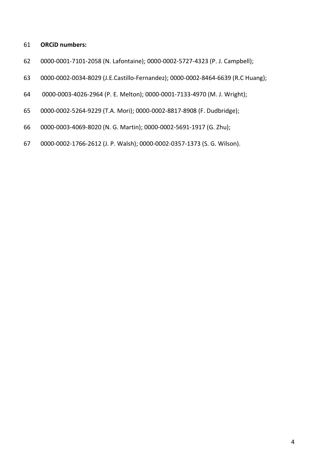### **ORCiD numbers:**

- 0000-0001-7101-2058 (N. Lafontaine); 0000-0002-5727-4323 (P. J. Campbell);
- 0000-0002-0034-8029 (J.E.Castillo-Fernandez); 0000-0002-8464-6639 (R.C Huang);
- 0000-0003-4026-2964 (P. E. Melton); 0000-0001-7133-4970 (M. J. Wright);
- 0000-0002-5264-9229 (T.A. Mori); 0000-0002-8817-8908 (F. Dudbridge);
- 0000-0003-4069-8020 (N. G. Martin); 0000-0002-5691-1917 (G. Zhu);
- 0000-0002-1766-2612 (J. P. Walsh); 0000-0002-0357-1373 (S. G. Wilson).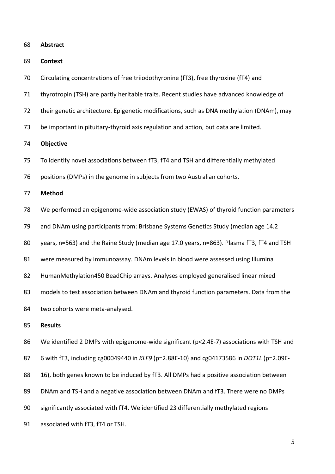**Abstract**

**Context**

- Circulating concentrations of free triiodothyronine (fT3), free thyroxine (fT4) and
- thyrotropin (TSH) are partly heritable traits. Recent studies have advanced knowledge of
- their genetic architecture. Epigenetic modifications, such as DNA methylation (DNAm), may
- be important in pituitary-thyroid axis regulation and action, but data are limited.

**Objective**

- To identify novel associations between fT3, fT4 and TSH and differentially methylated
- positions (DMPs) in the genome in subjects from two Australian cohorts.

**Method**

- We performed an epigenome-wide association study (EWAS) of thyroid function parameters
- and DNAm using participants from: Brisbane Systems Genetics Study (median age 14.2
- years, n=563) and the Raine Study (median age 17.0 years, n=863). Plasma fT3, fT4 and TSH
- were measured by immunoassay. DNAm levels in blood were assessed using Illumina
- HumanMethylation450 BeadChip arrays. Analyses employed generalised linear mixed
- models to test association between DNAm and thyroid function parameters. Data from the
- two cohorts were meta-analysed.

#### **Results**

- We identified 2 DMPs with epigenome-wide significant (p<2.4E-7) associations with TSH and
- 6 with fT3, including cg00049440 in *KLF9* (p=2.88E-10) and cg04173586 in *DOT1L* (p=2.09E-
- 88 16), both genes known to be induced by fT3. All DMPs had a positive association between
- DNAm and TSH and a negative association between DNAm and fT3. There were no DMPs
- significantly associated with fT4. We identified 23 differentially methylated regions
- associated with fT3, fT4 or TSH.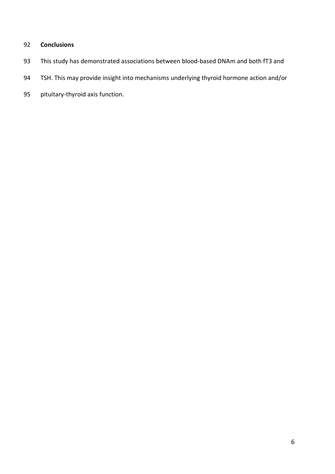## **Conclusions**

- This study has demonstrated associations between blood-based DNAm and both fT3 and
- TSH. This may provide insight into mechanisms underlying thyroid hormone action and/or
- pituitary-thyroid axis function.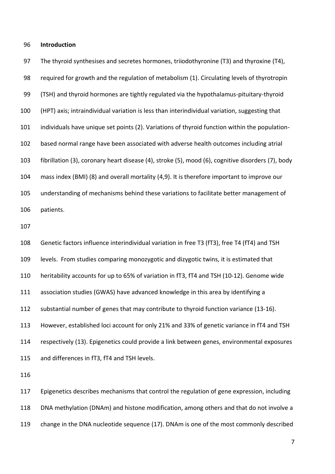#### **Introduction**

 The thyroid synthesises and secretes hormones, triiodothyronine (T3) and thyroxine (T4), required for growth and the regulation of metabolism (1). Circulating levels of thyrotropin (TSH) and thyroid hormones are tightly regulated via the hypothalamus-pituitary-thyroid (HPT) axis; intraindividual variation is less than interindividual variation, suggesting that individuals have unique set points (2). Variations of thyroid function within the population- based normal range have been associated with adverse health outcomes including atrial fibrillation (3), coronary heart disease (4), stroke (5), mood (6), cognitive disorders (7), body mass index (BMI) (8) and overall mortality (4,9). It is therefore important to improve our understanding of mechanisms behind these variations to facilitate better management of patients. 

 Genetic factors influence interindividual variation in free T3 (fT3), free T4 (fT4) and TSH levels. From studies comparing monozygotic and dizygotic twins, it is estimated that heritability accounts for up to 65% of variation in fT3, fT4 and TSH (10-12). Genome wide association studies (GWAS) have advanced knowledge in this area by identifying a substantial number of genes that may contribute to thyroid function variance (13-16). However, established loci account for only 21% and 33% of genetic variance in fT4 and TSH respectively (13). Epigenetics could provide a link between genes, environmental exposures and differences in fT3, fT4 and TSH levels.

 Epigenetics describes mechanisms that control the regulation of gene expression, including DNA methylation (DNAm) and histone modification, among others and that do not involve a change in the DNA nucleotide sequence (17). DNAm is one of the most commonly described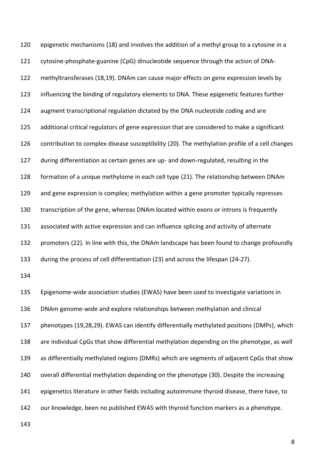epigenetic mechanisms (18) and involves the addition of a methyl group to a cytosine in a cytosine-phosphate-guanine (CpG) dinucleotide sequence through the action of DNA- methyltransferases (18,19). DNAm can cause major effects on gene expression levels by influencing the binding of regulatory elements to DNA. These epigenetic features further augment transcriptional regulation dictated by the DNA nucleotide coding and are additional critical regulators of gene expression that are considered to make a significant contribution to complex disease susceptibility (20). The methylation profile of a cell changes during differentiation as certain genes are up- and down-regulated, resulting in the formation of a unique methylome in each cell type (21). The relationship between DNAm and gene expression is complex; methylation within a gene promoter typically represses transcription of the gene, whereas DNAm located within exons or introns is frequently associated with active expression and can influence splicing and activity of alternate promoters (22). In line with this, the DNAm landscape has been found to change profoundly during the process of cell differentiation (23) and across the lifespan (24-27). Epigenome-wide association studies (EWAS) have been used to investigate variations in DNAm genome-wide and explore relationships between methylation and clinical phenotypes (19,28,29). EWAS can identify differentially methylated positions (DMPs), which are individual CpGs that show differential methylation depending on the phenotype, as well as differentially methylated regions (DMRs) which are segments of adjacent CpGs that show overall differential methylation depending on the phenotype (30). Despite the increasing epigenetics literature in other fields including autoimmune thyroid disease, there have, to our knowledge, been no published EWAS with thyroid function markers as a phenotype.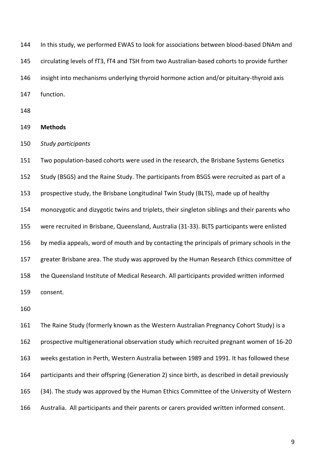In this study, we performed EWAS to look for associations between blood-based DNAm and circulating levels of fT3, fT4 and TSH from two Australian-based cohorts to provide further insight into mechanisms underlying thyroid hormone action and/or pituitary-thyroid axis function.

#### **Methods**

*Study participants*

 Two population-based cohorts were used in the research, the Brisbane Systems Genetics Study (BSGS) and the Raine Study. The participants from BSGS were recruited as part of a prospective study, the Brisbane Longitudinal Twin Study (BLTS), made up of healthy monozygotic and dizygotic twins and triplets, their singleton siblings and their parents who were recruited in Brisbane, Queensland, Australia (31-33). BLTS participants were enlisted by media appeals, word of mouth and by contacting the principals of primary schools in the greater Brisbane area. The study was approved by the Human Research Ethics committee of the Queensland Institute of Medical Research. All participants provided written informed consent.

 The Raine Study (formerly known as the Western Australian Pregnancy Cohort Study) is a prospective multigenerational observation study which recruited pregnant women of 16-20 weeks gestation in Perth, Western Australia between 1989 and 1991. It has followed these participants and their offspring (Generation 2) since birth, as described in detail previously (34). The study was approved by the Human Ethics Committee of the University of Western Australia. All participants and their parents or carers provided written informed consent.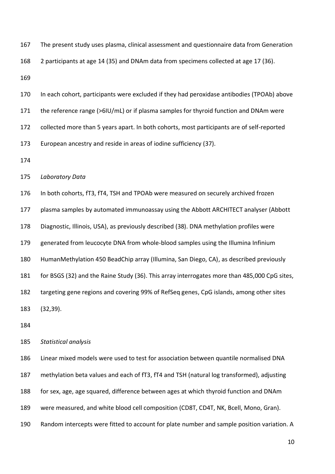| 167 | The present study uses plasma, clinical assessment and questionnaire data from Generation |
|-----|-------------------------------------------------------------------------------------------|
| 168 | 2 participants at age 14 (35) and DNAm data from specimens collected at age 17 (36).      |

 In each cohort, participants were excluded if they had peroxidase antibodies (TPOAb) above the reference range (>6IU/mL) or if plasma samples for thyroid function and DNAm were collected more than 5 years apart. In both cohorts, most participants are of self-reported European ancestry and reside in areas of iodine sufficiency (37).

*Laboratory Data*

In both cohorts, fT3, fT4, TSH and TPOAb were measured on securely archived frozen

plasma samples by automated immunoassay using the Abbott ARCHITECT analyser (Abbott

Diagnostic, Illinois, USA), as previously described (38). DNA methylation profiles were

generated from leucocyte DNA from whole-blood samples using the Illumina Infinium

HumanMethylation 450 BeadChip array (Illumina, San Diego, CA), as described previously

for BSGS (32) and the Raine Study (36). This array interrogates more than 485,000 CpG sites,

targeting gene regions and covering 99% of RefSeq genes, CpG islands, among other sites

(32,39).

*Statistical analysis*

 Linear mixed models were used to test for association between quantile normalised DNA methylation beta values and each of fT3, fT4 and TSH (natural log transformed), adjusting for sex, age, age squared, difference between ages at which thyroid function and DNAm were measured, and white blood cell composition (CD8T, CD4T, NK, Bcell, Mono, Gran). Random intercepts were fitted to account for plate number and sample position variation. A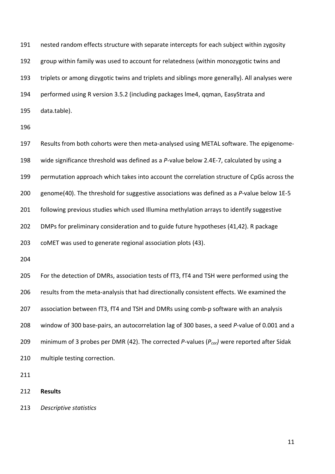nested random effects structure with separate intercepts for each subject within zygosity group within family was used to account for relatedness (within monozygotic twins and triplets or among dizygotic twins and triplets and siblings more generally). All analyses were performed using R version 3.5.2 (including packages lme4, qqman, EasyStrata and data.table).

 Results from both cohorts were then meta-analysed using METAL software. The epigenome- wide significance threshold was defined as a *P*-value below 2.4E-7, calculated by using a permutation approach which takes into account the correlation structure of CpGs across the genome(40). The threshold for suggestive associations was defined as a *P*-value below 1E-5 following previous studies which used Illumina methylation arrays to identify suggestive DMPs for preliminary consideration and to guide future hypotheses (41,42). R package coMET was used to generate regional association plots (43). For the detection of DMRs, association tests of fT3, fT4 and TSH were performed using the results from the meta-analysis that had directionally consistent effects. We examined the association between fT3, fT4 and TSH and DMRs using comb-p software with an analysis window of 300 base-pairs, an autocorrelation lag of 300 bases, a seed *P*-value of 0.001 and a

- minimum of 3 probes per DMR (42). The corrected *P*-values (*Pcor)* were reported after Sidak
- multiple testing correction.

- **Results**
- *Descriptive statistics*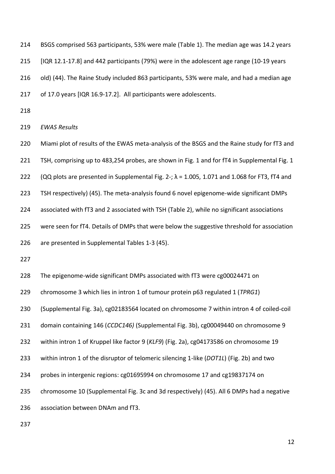BSGS comprised 563 participants, 53% were male (Table 1). The median age was 14.2 years [IQR 12.1-17.8] and 442 participants (79%) were in the adolescent age range (10-19 years old) (44). The Raine Study included 863 participants, 53% were male, and had a median age of 17.0 years [IQR 16.9-17.2]. All participants were adolescents.

*EWAS Results*

Miami plot of results of the EWAS meta-analysis of the BSGS and the Raine study for fT3 and

221 TSH, comprising up to 483,254 probes, are shown in Fig. 1 and for fT4 in Supplemental Fig. 1

222 (QQ plots are presented in Supplemental Fig. 2-;  $\lambda$  = 1.005, 1.071 and 1.068 for FT3, fT4 and

TSH respectively) (45). The meta-analysis found 6 novel epigenome-wide significant DMPs

associated with fT3 and 2 associated with TSH (Table 2), while no significant associations

were seen for fT4. Details of DMPs that were below the suggestive threshold for association

are presented in Supplemental Tables 1-3 (45).

The epigenome-wide significant DMPs associated with fT3 were cg00024471 on

chromosome 3 which lies in intron 1 of tumour protein p63 regulated 1 (*TPRG1*)

(Supplemental Fig. 3a), cg02183564 located on chromosome 7 within intron 4 of coiled-coil

domain containing 146 (*CCDC146)* (Supplemental Fig. 3b), cg00049440 on chromosome 9

within intron 1 of Kruppel like factor 9 (*KLF9*) (Fig. 2a), cg04173586 on chromosome 19

within intron 1 of the disruptor of telomeric silencing 1-like (*DOT1L*) (Fig. 2b) and two

probes in intergenic regions: cg01695994 on chromosome 17 and cg19837174 on

chromosome 10 (Supplemental Fig. 3c and 3d respectively) (45). All 6 DMPs had a negative

association between DNAm and fT3.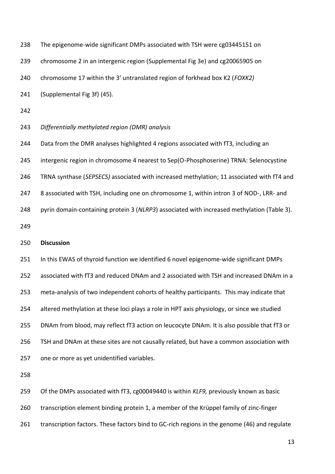| 238 | The epigenome-wide significant DMPs associated with TSH were cg03445151 on                   |
|-----|----------------------------------------------------------------------------------------------|
| 239 | chromosome 2 in an intergenic region (Supplemental Fig 3e) and cg20065905 on                 |
| 240 | chromosome 17 within the 3' untranslated region of forkhead box K2 (FOXK2)                   |
| 241 | (Supplemental Fig 3f) (45).                                                                  |
| 242 |                                                                                              |
| 243 | Differentially methylated region (DMR) analysis                                              |
| 244 | Data from the DMR analyses highlighted 4 regions associated with fT3, including an           |
| 245 | intergenic region in chromosome 4 nearest to Sep(O-Phosphoserine) TRNA: Selenocystine        |
| 246 | TRNA synthase (SEPSECS) associated with increased methylation; 11 associated with fT4 and    |
| 247 | 8 associated with TSH, including one on chromosome 1, within intron 3 of NOD-, LRR- and      |
| 248 | pyrin domain-containing protein 3 (NLRP3) associated with increased methylation (Table 3).   |
| 249 |                                                                                              |
| 250 | <b>Discussion</b>                                                                            |
| 251 | In this EWAS of thyroid function we identified 6 novel epigenome-wide significant DMPs       |
| 252 | associated with fT3 and reduced DNAm and 2 associated with TSH and increased DNAm in a       |
| 253 | meta-analysis of two independent cohorts of healthy participants. This may indicate that     |
| 254 | altered methylation at these loci plays a role in HPT axis physiology, or since we studied   |
| 255 | DNAm from blood, may reflect fT3 action on leucocyte DNAm. It is also possible that fT3 or   |
| 256 | TSH and DNAm at these sites are not causally related, but have a common association with     |
| 257 | one or more as yet unidentified variables.                                                   |
| 258 |                                                                                              |
| 259 | Of the DMPs associated with fT3, cg00049440 is within KLF9, previously known as basic        |
| 260 | transcription element binding protein 1, a member of the Krüppel family of zinc-finger       |
| 261 | transcription factors. These factors bind to GC-rich regions in the genome (46) and regulate |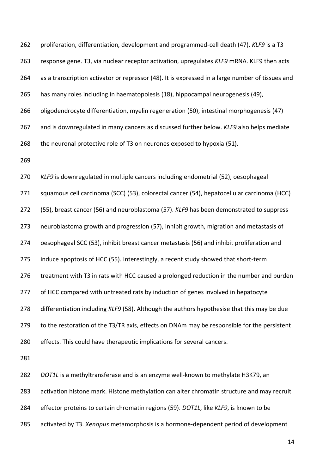proliferation, differentiation, development and programmed-cell death (47). *KLF9* is a T3 response gene. T3, via nuclear receptor activation, upregulates *KLF9* mRNA. KLF9 then acts as a transcription activator or repressor (48). It is expressed in a large number of tissues and has many roles including in haematopoiesis (18), hippocampal neurogenesis (49), 266 oligodendrocyte differentiation, myelin regeneration (50), intestinal morphogenesis (47) and is downregulated in many cancers as discussed further below. *KLF9* also helps mediate the neuronal protective role of T3 on neurones exposed to hypoxia (51).

 *KLF9* is downregulated in multiple cancers including endometrial (52), oesophageal squamous cell carcinoma (SCC) (53), colorectal cancer (54), hepatocellular carcinoma (HCC) (55), breast cancer (56) and neuroblastoma (57). *KLF9* has been demonstrated to suppress neuroblastoma growth and progression (57), inhibit growth, migration and metastasis of oesophageal SCC (53), inhibit breast cancer metastasis (56) and inhibit proliferation and induce apoptosis of HCC (55). Interestingly, a recent study showed that short-term treatment with T3 in rats with HCC caused a prolonged reduction in the number and burden 277 of HCC compared with untreated rats by induction of genes involved in hepatocyte differentiation including *KLF9* (58). Although the authors hypothesise that this may be due 279 to the restoration of the T3/TR axis, effects on DNAm may be responsible for the persistent effects. This could have therapeutic implications for several cancers.

*DOT1L* is a methyltransferase and is an enzyme well-known to methylate H3K79, an

activation histone mark. Histone methylation can alter chromatin structure and may recruit

effector proteins to certain chromatin regions (59). *DOT1L*, like *KLF9*, is known to be

activated by T3. *Xenopus* metamorphosis is a hormone-dependent period of development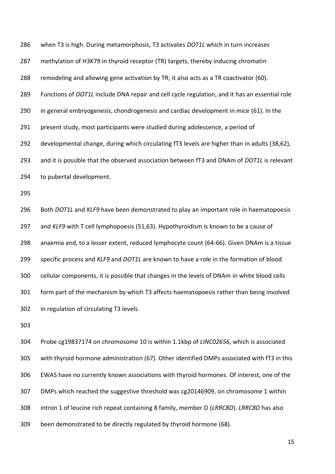when T3 is high. During metamorphosis, T3 activates *DOT1L* which in turn increases methylation of H3K79 in thyroid receptor (TR) targets, thereby inducing chromatin remodeling and allowing gene activation by TR; it also acts as a TR coactivator (60). Functions of *DOT1L* include DNA repair and cell cycle regulation, and it has an essential role in general embryogenesis, chondrogenesis and cardiac development in mice (61). In the present study, most participants were studied during adolescence, a period of developmental change, during which circulating fT3 levels are higher than in adults (38,62), and it is possible that the observed association between fT3 and DNAm of *DOT1L* is relevant to pubertal development. Both *DOT1L* and *KLF9* have been demonstrated to play an important role in haematopoesis and *KLF9* with T cell lymphopoesis (51,63). Hypothyroidism is known to be a cause of anaemia and, to a lesser extent, reduced lymphocyte count (64-66). Given DNAm is a tissue specific process and *KLF9* and *DOT1L* are known to have a role in the formation of blood cellular components, it is possible that changes in the levels of DNAm in white blood cells form part of the mechanism by which T3 affects haematopoesis rather than being involved in regulation of circulating T3 levels.

 Probe cg19837174 on chromosome 10 is within 1.1kbp of *LINC02656*, which is associated with thyroid hormone administration (67). Other identified DMPs associated with fT3 in this EWAS have no currently known associations with thyroid hormones. Of interest, one of the DMPs which reached the suggestive threshold was cg20146909, on chromosome 1 within intron 1 of leucine rich repeat containing 8 family, member D (*LRRC8D*). *LRRC8D* has also been demonstrated to be directly regulated by thyroid hormone (68).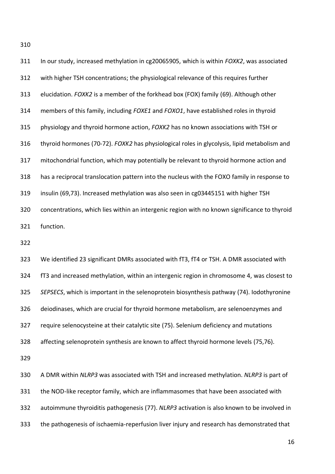| 311 | In our study, increased methylation in cg20065905, which is within FOXK2, was associated     |
|-----|----------------------------------------------------------------------------------------------|
| 312 | with higher TSH concentrations; the physiological relevance of this requires further         |
| 313 | elucidation. FOXK2 is a member of the forkhead box (FOX) family (69). Although other         |
| 314 | members of this family, including FOXE1 and FOXO1, have established roles in thyroid         |
| 315 | physiology and thyroid hormone action, FOXK2 has no known associations with TSH or           |
| 316 | thyroid hormones (70-72). FOXK2 has physiological roles in glycolysis, lipid metabolism and  |
| 317 | mitochondrial function, which may potentially be relevant to thyroid hormone action and      |
| 318 | has a reciprocal translocation pattern into the nucleus with the FOXO family in response to  |
| 319 | insulin (69,73). Increased methylation was also seen in cg03445151 with higher TSH           |
| 320 | concentrations, which lies within an intergenic region with no known significance to thyroid |
| 321 | function.                                                                                    |
| 322 |                                                                                              |
| 323 | We identified 23 significant DMRs associated with fT3, fT4 or TSH. A DMR associated with     |
|     |                                                                                              |
| 324 | fT3 and increased methylation, within an intergenic region in chromosome 4, was closest to   |
| 325 | SEPSECS, which is important in the selenoprotein biosynthesis pathway (74). Iodothyronine    |
| 326 | deiodinases, which are crucial for thyroid hormone metabolism, are selenoenzymes and         |
| 327 | require selenocysteine at their catalytic site (75). Selenium deficiency and mutations       |
| 328 | affecting selenoprotein synthesis are known to affect thyroid hormone levels (75,76).        |
| 329 |                                                                                              |
| 330 | A DMR within NLRP3 was associated with TSH and increased methylation. NLRP3 is part of       |
| 331 | the NOD-like receptor family, which are inflammasomes that have been associated with         |
| 332 | autoimmune thyroiditis pathogenesis (77). NLRP3 activation is also known to be involved in   |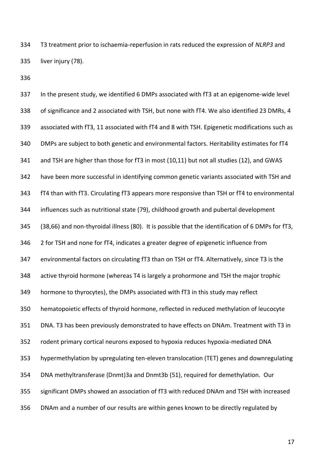T3 treatment prior to ischaemia-reperfusion in rats reduced the expression of *NLRP3* and liver injury (78).

 In the present study, we identified 6 DMPs associated with fT3 at an epigenome-wide level of significance and 2 associated with TSH, but none with fT4. We also identified 23 DMRs, 4 associated with fT3, 11 associated with fT4 and 8 with TSH. Epigenetic modifications such as DMPs are subject to both genetic and environmental factors. Heritability estimates for fT4 and TSH are higher than those for fT3 in most (10,11) but not all studies (12), and GWAS have been more successful in identifying common genetic variants associated with TSH and fT4 than with fT3. Circulating fT3 appears more responsive than TSH or fT4 to environmental influences such as nutritional state (79), childhood growth and pubertal development (38,66) and non-thyroidal illness (80). It is possible that the identification of 6 DMPs for fT3, 2 for TSH and none for fT4, indicates a greater degree of epigenetic influence from environmental factors on circulating fT3 than on TSH or fT4. Alternatively, since T3 is the active thyroid hormone (whereas T4 is largely a prohormone and TSH the major trophic hormone to thyrocytes), the DMPs associated with fT3 in this study may reflect hematopoietic effects of thyroid hormone, reflected in reduced methylation of leucocyte DNA. T3 has been previously demonstrated to have effects on DNAm. Treatment with T3 in rodent primary cortical neurons exposed to hypoxia reduces hypoxia-mediated DNA hypermethylation by upregulating ten-eleven translocation (TET) genes and downregulating DNA methyltransferase (Dnmt)3a and Dnmt3b (51), required for demethylation. Our significant DMPs showed an association of fT3 with reduced DNAm and TSH with increased DNAm and a number of our results are within genes known to be directly regulated by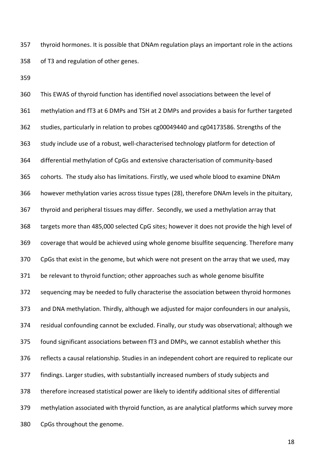thyroid hormones. It is possible that DNAm regulation plays an important role in the actions of T3 and regulation of other genes.

 This EWAS of thyroid function has identified novel associations between the level of methylation and fT3 at 6 DMPs and TSH at 2 DMPs and provides a basis for further targeted studies, particularly in relation to probes cg00049440 and cg04173586. Strengths of the study include use of a robust, well-characterised technology platform for detection of differential methylation of CpGs and extensive characterisation of community-based cohorts. The study also has limitations. Firstly, we used whole blood to examine DNAm however methylation varies across tissue types (28), therefore DNAm levels in the pituitary, thyroid and peripheral tissues may differ. Secondly, we used a methylation array that targets more than 485,000 selected CpG sites; however it does not provide the high level of coverage that would be achieved using whole genome bisulfite sequencing. Therefore many CpGs that exist in the genome, but which were not present on the array that we used, may be relevant to thyroid function; other approaches such as whole genome bisulfite sequencing may be needed to fully characterise the association between thyroid hormones and DNA methylation. Thirdly, although we adjusted for major confounders in our analysis, residual confounding cannot be excluded. Finally, our study was observational; although we found significant associations between fT3 and DMPs, we cannot establish whether this reflects a causal relationship. Studies in an independent cohort are required to replicate our findings. Larger studies, with substantially increased numbers of study subjects and therefore increased statistical power are likely to identify additional sites of differential methylation associated with thyroid function, as are analytical platforms which survey more CpGs throughout the genome.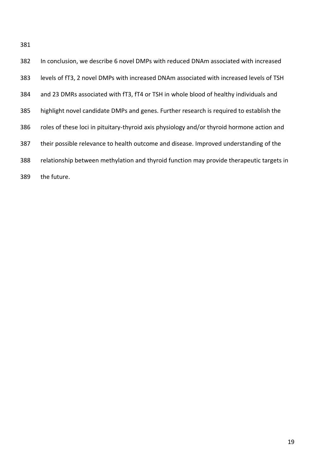| 382 | In conclusion, we describe 6 novel DMPs with reduced DNAm associated with increased        |
|-----|--------------------------------------------------------------------------------------------|
| 383 | levels of fT3, 2 novel DMPs with increased DNAm associated with increased levels of TSH    |
| 384 | and 23 DMRs associated with fT3, fT4 or TSH in whole blood of healthy individuals and      |
| 385 | highlight novel candidate DMPs and genes. Further research is required to establish the    |
| 386 | roles of these loci in pituitary-thyroid axis physiology and/or thyroid hormone action and |
| 387 | their possible relevance to health outcome and disease. Improved understanding of the      |
| 388 | relationship between methylation and thyroid function may provide therapeutic targets in   |
| 389 | the future.                                                                                |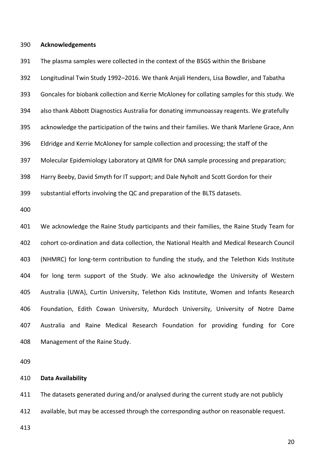#### **Acknowledgements**

 The plasma samples were collected in the context of the BSGS within the Brisbane Longitudinal Twin Study 1992–2016. We thank Anjali Henders, Lisa Bowdler, and Tabatha Goncales for biobank collection and Kerrie McAloney for collating samples for this study. We also thank Abbott Diagnostics Australia for donating immunoassay reagents. We gratefully acknowledge the participation of the twins and their families. We thank Marlene Grace, Ann Eldridge and Kerrie McAloney for sample collection and processing; the staff of the Molecular Epidemiology Laboratory at QIMR for DNA sample processing and preparation; Harry Beeby, David Smyth for IT support; and Dale Nyholt and Scott Gordon for their substantial efforts involving the QC and preparation of the BLTS datasets. We acknowledge the Raine Study participants and their families, the Raine Study Team for cohort co-ordination and data collection, the National Health and Medical Research Council (NHMRC) for long-term contribution to funding the study, and the Telethon Kids Institute for long term support of the Study. We also acknowledge the University of Western Australia (UWA), Curtin University, Telethon Kids Institute, Women and Infants Research Foundation, Edith Cowan University, Murdoch University, University of Notre Dame Australia and Raine Medical Research Foundation for providing funding for Core Management of the Raine Study.

#### **Data Availability**

The datasets generated during and/or analysed during the current study are not publicly

available, but may be accessed through the corresponding author on reasonable request.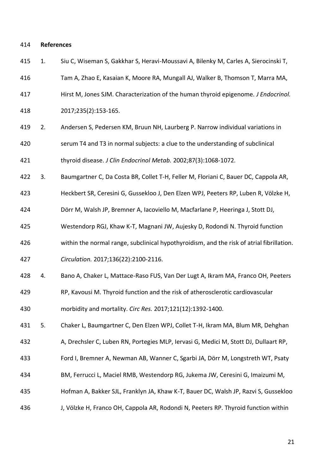#### **References**

- 1. Siu C, Wiseman S, Gakkhar S, Heravi-Moussavi A, Bilenky M, Carles A, Sierocinski T,
- Tam A, Zhao E, Kasaian K, Moore RA, Mungall AJ, Walker B, Thomson T, Marra MA,
- Hirst M, Jones SJM. Characterization of the human thyroid epigenome. *J Endocrinol.*
- 2017;235(2):153-165.
- 2. Andersen S, Pedersen KM, Bruun NH, Laurberg P. Narrow individual variations in serum T4 and T3 in normal subjects: a clue to the understanding of subclinical thyroid disease. *J Clin Endocrinol Metab.* 2002;87(3):1068-1072.
- 3. Baumgartner C, Da Costa BR, Collet T-H, Feller M, Floriani C, Bauer DC, Cappola AR,
- Heckbert SR, Ceresini G, Gussekloo J, Den Elzen WPJ, Peeters RP, Luben R, Völzke H,
- Dörr M, Walsh JP, Bremner A, Iacoviello M, Macfarlane P, Heeringa J, Stott DJ,
- Westendorp RGJ, Khaw K-T, Magnani JW, Aujesky D, Rodondi N. Thyroid function
- within the normal range, subclinical hypothyroidism, and the risk of atrial fibrillation.
- *Circulation.* 2017;136(22):2100-2116.
- 4. Bano A, Chaker L, Mattace-Raso FUS, Van Der Lugt A, Ikram MA, Franco OH, Peeters
- RP, Kavousi M. Thyroid function and the risk of atherosclerotic cardiovascular

morbidity and mortality. *Circ Res.* 2017;121(12):1392-1400.

- 5. Chaker L, Baumgartner C, Den Elzen WPJ, Collet T-H, Ikram MA, Blum MR, Dehghan
- 432 A, Drechsler C, Luben RN, Portegies MLP, Iervasi G, Medici M, Stott DJ, Dullaart RP,
- Ford I, Bremner A, Newman AB, Wanner C, Sgarbi JA, Dörr M, Longstreth WT, Psaty
- BM, Ferrucci L, Maciel RMB, Westendorp RG, Jukema JW, Ceresini G, Imaizumi M,
- Hofman A, Bakker SJL, Franklyn JA, Khaw K-T, Bauer DC, Walsh JP, Razvi S, Gussekloo
- J, Völzke H, Franco OH, Cappola AR, Rodondi N, Peeters RP. Thyroid function within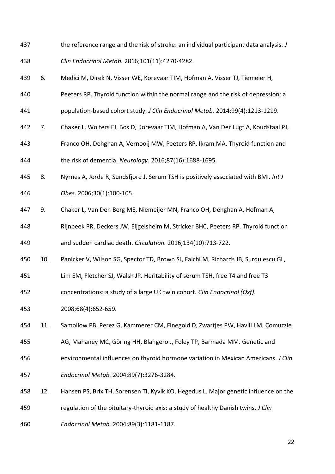- the reference range and the risk of stroke: an individual participant data analysis. *J*
- *Clin Endocrinol Metab.* 2016;101(11):4270-4282.
- 6. Medici M, Direk N, Visser WE, Korevaar TIM, Hofman A, Visser TJ, Tiemeier H,
- Peeters RP. Thyroid function within the normal range and the risk of depression: a
- population-based cohort study. *J Clin Endocrinol Metab.* 2014;99(4):1213-1219.
- 7. Chaker L, Wolters FJ, Bos D, Korevaar TIM, Hofman A, Van Der Lugt A, Koudstaal PJ,
- Franco OH, Dehghan A, Vernooij MW, Peeters RP, Ikram MA. Thyroid function and the risk of dementia. *Neurology.* 2016;87(16):1688-1695.
- 8. Nyrnes A, Jorde R, Sundsfjord J. Serum TSH is positively associated with BMI. *Int J Obes.* 2006;30(1):100-105.
- 9. Chaker L, Van Den Berg ME, Niemeijer MN, Franco OH, Dehghan A, Hofman A,
- Rijnbeek PR, Deckers JW, Eijgelsheim M, Stricker BHC, Peeters RP. Thyroid function and sudden cardiac death. *Circulation.* 2016;134(10):713-722.
- 10. Panicker V, Wilson SG, Spector TD, Brown SJ, Falchi M, Richards JB, Surdulescu GL,
- Lim EM, Fletcher SJ, Walsh JP. Heritability of serum TSH, free T4 and free T3
- concentrations: a study of a large UK twin cohort. *Clin Endocrinol (Oxf).*
- 2008;68(4):652-659.
- 11. Samollow PB, Perez G, Kammerer CM, Finegold D, Zwartjes PW, Havill LM, Comuzzie
- AG, Mahaney MC, Göring HH, Blangero J, Foley TP, Barmada MM. Genetic and
- environmental influences on thyroid hormone variation in Mexican Americans. *J Clin*
- *Endocrinol Metab.* 2004;89(7):3276-3284.
- 12. Hansen PS, Brix TH, Sorensen TI, Kyvik KO, Hegedus L. Major genetic influence on the
- regulation of the pituitary-thyroid axis: a study of healthy Danish twins. *J Clin*
- *Endocrinol Metab.* 2004;89(3):1181-1187.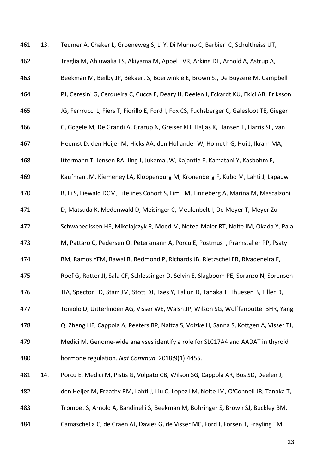13. Teumer A, Chaker L, Groeneweg S, Li Y, Di Munno C, Barbieri C, Schultheiss UT, Traglia M, Ahluwalia TS, Akiyama M, Appel EVR, Arking DE, Arnold A, Astrup A, Beekman M, Beilby JP, Bekaert S, Boerwinkle E, Brown SJ, De Buyzere M, Campbell PJ, Ceresini G, Cerqueira C, Cucca F, Deary IJ, Deelen J, Eckardt KU, Ekici AB, Eriksson JG, Ferrrucci L, Fiers T, Fiorillo E, Ford I, Fox CS, Fuchsberger C, Galesloot TE, Gieger C, Gogele M, De Grandi A, Grarup N, Greiser KH, Haljas K, Hansen T, Harris SE, van Heemst D, den Heijer M, Hicks AA, den Hollander W, Homuth G, Hui J, Ikram MA, Ittermann T, Jensen RA, Jing J, Jukema JW, Kajantie E, Kamatani Y, Kasbohm E, Kaufman JM, Kiemeney LA, Kloppenburg M, Kronenberg F, Kubo M, Lahti J, Lapauw B, Li S, Liewald DCM, Lifelines Cohort S, Lim EM, Linneberg A, Marina M, Mascalzoni D, Matsuda K, Medenwald D, Meisinger C, Meulenbelt I, De Meyer T, Meyer Zu Schwabedissen HE, Mikolajczyk R, Moed M, Netea-Maier RT, Nolte IM, Okada Y, Pala M, Pattaro C, Pedersen O, Petersmann A, Porcu E, Postmus I, Pramstaller PP, Psaty BM, Ramos YFM, Rawal R, Redmond P, Richards JB, Rietzschel ER, Rivadeneira F, Roef G, Rotter JI, Sala CF, Schlessinger D, Selvin E, Slagboom PE, Soranzo N, Sorensen TIA, Spector TD, Starr JM, Stott DJ, Taes Y, Taliun D, Tanaka T, Thuesen B, Tiller D, Toniolo D, Uitterlinden AG, Visser WE, Walsh JP, Wilson SG, Wolffenbuttel BHR, Yang Q, Zheng HF, Cappola A, Peeters RP, Naitza S, Volzke H, Sanna S, Kottgen A, Visser TJ, Medici M. Genome-wide analyses identify a role for SLC17A4 and AADAT in thyroid hormone regulation. *Nat Commun.* 2018;9(1):4455. 14. Porcu E, Medici M, Pistis G, Volpato CB, Wilson SG, Cappola AR, Bos SD, Deelen J, den Heijer M, Freathy RM, Lahti J, Liu C, Lopez LM, Nolte IM, O'Connell JR, Tanaka T, Trompet S, Arnold A, Bandinelli S, Beekman M, Bohringer S, Brown SJ, Buckley BM, Camaschella C, de Craen AJ, Davies G, de Visser MC, Ford I, Forsen T, Frayling TM,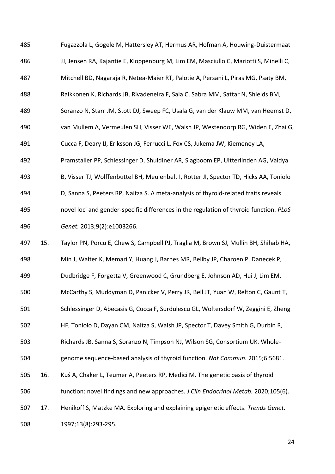Fugazzola L, Gogele M, Hattersley AT, Hermus AR, Hofman A, Houwing-Duistermaat JJ, Jensen RA, Kajantie E, Kloppenburg M, Lim EM, Masciullo C, Mariotti S, Minelli C, Mitchell BD, Nagaraja R, Netea-Maier RT, Palotie A, Persani L, Piras MG, Psaty BM, Raikkonen K, Richards JB, Rivadeneira F, Sala C, Sabra MM, Sattar N, Shields BM, Soranzo N, Starr JM, Stott DJ, Sweep FC, Usala G, van der Klauw MM, van Heemst D, van Mullem A, Vermeulen SH, Visser WE, Walsh JP, Westendorp RG, Widen E, Zhai G, Cucca F, Deary IJ, Eriksson JG, Ferrucci L, Fox CS, Jukema JW, Kiemeney LA, Pramstaller PP, Schlessinger D, Shuldiner AR, Slagboom EP, Uitterlinden AG, Vaidya B, Visser TJ, Wolffenbuttel BH, Meulenbelt I, Rotter JI, Spector TD, Hicks AA, Toniolo D, Sanna S, Peeters RP, Naitza S. A meta-analysis of thyroid-related traits reveals novel loci and gender-specific differences in the regulation of thyroid function. *PLoS Genet.* 2013;9(2):e1003266. 15. Taylor PN, Porcu E, Chew S, Campbell PJ, Traglia M, Brown SJ, Mullin BH, Shihab HA, Min J, Walter K, Memari Y, Huang J, Barnes MR, Beilby JP, Charoen P, Danecek P, Dudbridge F, Forgetta V, Greenwood C, Grundberg E, Johnson AD, Hui J, Lim EM, McCarthy S, Muddyman D, Panicker V, Perry JR, Bell JT, Yuan W, Relton C, Gaunt T, Schlessinger D, Abecasis G, Cucca F, Surdulescu GL, Woltersdorf W, Zeggini E, Zheng HF, Toniolo D, Dayan CM, Naitza S, Walsh JP, Spector T, Davey Smith G, Durbin R, Richards JB, Sanna S, Soranzo N, Timpson NJ, Wilson SG, Consortium UK. Whole- genome sequence-based analysis of thyroid function. *Nat Commun.* 2015;6:5681. 16. Kuś A, Chaker L, Teumer A, Peeters RP, Medici M. The genetic basis of thyroid function: novel findings and new approaches. *J Clin Endocrinol Metab.* 2020;105(6). 17. Henikoff S, Matzke MA. Exploring and explaining epigenetic effects. *Trends Genet.*  1997;13(8):293-295.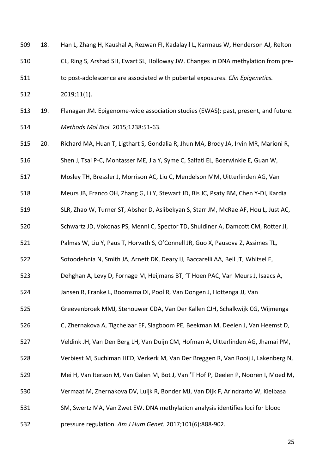18. Han L, Zhang H, Kaushal A, Rezwan FI, Kadalayil L, Karmaus W, Henderson AJ, Relton

CL, Ring S, Arshad SH, Ewart SL, Holloway JW. Changes in DNA methylation from pre-

to post-adolescence are associated with pubertal exposures. *Clin Epigenetics.* 

2019;11(1).

 19. Flanagan JM. Epigenome-wide association studies (EWAS): past, present, and future. *Methods Mol Biol.* 2015;1238:51-63.

20. Richard MA, Huan T, Ligthart S, Gondalia R, Jhun MA, Brody JA, Irvin MR, Marioni R,

Shen J, Tsai P-C, Montasser ME, Jia Y, Syme C, Salfati EL, Boerwinkle E, Guan W,

Mosley TH, Bressler J, Morrison AC, Liu C, Mendelson MM, Uitterlinden AG, Van

Meurs JB, Franco OH, Zhang G, Li Y, Stewart JD, Bis JC, Psaty BM, Chen Y-DI, Kardia

SLR, Zhao W, Turner ST, Absher D, Aslibekyan S, Starr JM, McRae AF, Hou L, Just AC,

Schwartz JD, Vokonas PS, Menni C, Spector TD, Shuldiner A, Damcott CM, Rotter JI,

Palmas W, Liu Y, Paus T, Horvath S, O'Connell JR, Guo X, Pausova Z, Assimes TL,

Sotoodehnia N, Smith JA, Arnett DK, Deary IJ, Baccarelli AA, Bell JT, Whitsel E,

Dehghan A, Levy D, Fornage M, Heijmans BT, 'T Hoen PAC, Van Meurs J, Isaacs A,

Jansen R, Franke L, Boomsma DI, Pool R, Van Dongen J, Hottenga JJ, Van

Greevenbroek MMJ, Stehouwer CDA, Van Der Kallen CJH, Schalkwijk CG, Wijmenga

C, Zhernakova A, Tigchelaar EF, Slagboom PE, Beekman M, Deelen J, Van Heemst D,

Veldink JH, Van Den Berg LH, Van Duijn CM, Hofman A, Uitterlinden AG, Jhamai PM,

Verbiest M, Suchiman HED, Verkerk M, Van Der Breggen R, Van Rooij J, Lakenberg N,

Mei H, Van Iterson M, Van Galen M, Bot J, Van 'T Hof P, Deelen P, Nooren I, Moed M,

Vermaat M, Zhernakova DV, Luijk R, Bonder MJ, Van Dijk F, Arindrarto W, Kielbasa

SM, Swertz MA, Van Zwet EW. DNA methylation analysis identifies loci for blood

pressure regulation. *Am J Hum Genet.* 2017;101(6):888-902.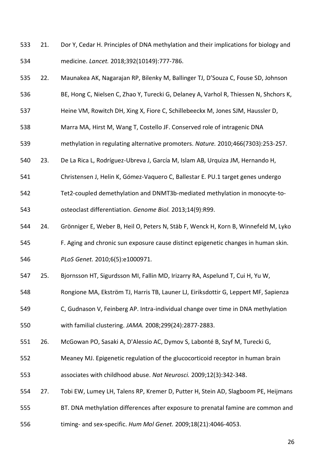- 21. Dor Y, Cedar H. Principles of DNA methylation and their implications for biology and medicine. *Lancet.* 2018;392(10149):777-786.
- 22. Maunakea AK, Nagarajan RP, Bilenky M, Ballinger TJ, D'Souza C, Fouse SD, Johnson
- BE, Hong C, Nielsen C, Zhao Y, Turecki G, Delaney A, Varhol R, Thiessen N, Shchors K,
- Heine VM, Rowitch DH, Xing X, Fiore C, Schillebeeckx M, Jones SJM, Haussler D,
- Marra MA, Hirst M, Wang T, Costello JF. Conserved role of intragenic DNA
- methylation in regulating alternative promoters. *Nature.* 2010;466(7303):253-257.
- 23. De La Rica L, Rodríguez-Ubreva J, García M, Islam AB, Urquiza JM, Hernando H,
- Christensen J, Helin K, Gómez-Vaquero C, Ballestar E. PU.1 target genes undergo
- Tet2-coupled demethylation and DNMT3b-mediated methylation in monocyte-to-

osteoclast differentiation. *Genome Biol.* 2013;14(9):R99.

- 24. Grönniger E, Weber B, Heil O, Peters N, Stäb F, Wenck H, Korn B, Winnefeld M, Lyko
- F. Aging and chronic sun exposure cause distinct epigenetic changes in human skin.
- *PLoS Genet.* 2010;6(5):e1000971.
- 25. Bjornsson HT, Sigurdsson MI, Fallin MD, Irizarry RA, Aspelund T, Cui H, Yu W,
- Rongione MA, Ekström TJ, Harris TB, Launer LJ, Eiriksdottir G, Leppert MF, Sapienza
- C, Gudnason V, Feinberg AP. Intra-individual change over time in DNA methylation

with familial clustering. *JAMA.* 2008;299(24):2877-2883.

- 26. McGowan PO, Sasaki A, D'Alessio AC, Dymov S, Labonté B, Szyf M, Turecki G,
- Meaney MJ. Epigenetic regulation of the glucocorticoid receptor in human brain
- associates with childhood abuse. *Nat Neurosci.* 2009;12(3):342-348.
- 27. Tobi EW, Lumey LH, Talens RP, Kremer D, Putter H, Stein AD, Slagboom PE, Heijmans
- BT. DNA methylation differences after exposure to prenatal famine are common and
- timing- and sex-specific. *Hum Mol Genet.* 2009;18(21):4046-4053.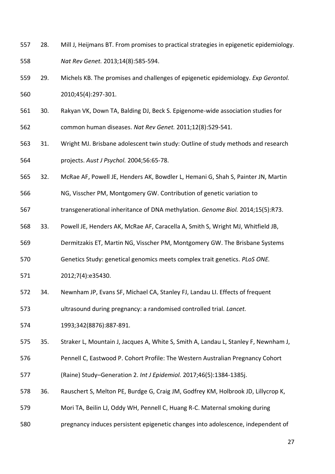- 28. Mill J, Heijmans BT. From promises to practical strategies in epigenetic epidemiology. *Nat Rev Genet.* 2013;14(8):585-594.
- 29. Michels KB. The promises and challenges of epigenetic epidemiology. *Exp Gerontol.*  2010;45(4):297-301.
- 30. Rakyan VK, Down TA, Balding DJ, Beck S. Epigenome-wide association studies for common human diseases. *Nat Rev Genet.* 2011;12(8):529-541.
- 31. Wright MJ. Brisbane adolescent twin study: Outline of study methods and research projects. *Aust J Psychol.* 2004;56:65-78.
- 32. McRae AF, Powell JE, Henders AK, Bowdler L, Hemani G, Shah S, Painter JN, Martin
- NG, Visscher PM, Montgomery GW. Contribution of genetic variation to
- transgenerational inheritance of DNA methylation. *Genome Biol.* 2014;15(5):R73.
- 33. Powell JE, Henders AK, McRae AF, Caracella A, Smith S, Wright MJ, Whitfield JB,
- Dermitzakis ET, Martin NG, Visscher PM, Montgomery GW. The Brisbane Systems
- Genetics Study: genetical genomics meets complex trait genetics. *PLoS ONE.*
- 2012;7(4):e35430.
- 34. Newnham JP, Evans SF, Michael CA, Stanley FJ, Landau LI. Effects of frequent

ultrasound during pregnancy: a randomised controlled trial. *Lancet.* 

1993;342(8876):887-891.

35. Straker L, Mountain J, Jacques A, White S, Smith A, Landau L, Stanley F, Newnham J,

- Pennell C, Eastwood P. Cohort Profile: The Western Australian Pregnancy Cohort
- (Raine) Study–Generation 2. *Int J Epidemiol.* 2017;46(5):1384-1385j.
- 36. Rauschert S, Melton PE, Burdge G, Craig JM, Godfrey KM, Holbrook JD, Lillycrop K,
- Mori TA, Beilin LJ, Oddy WH, Pennell C, Huang R-C. Maternal smoking during
- pregnancy induces persistent epigenetic changes into adolescence, independent of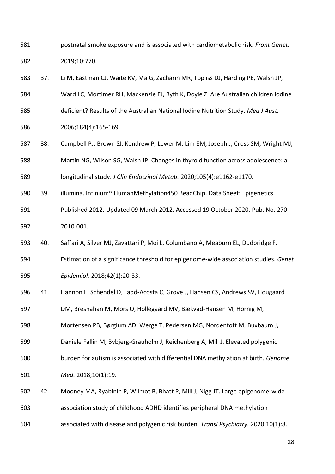- postnatal smoke exposure and is associated with cardiometabolic risk. *Front Genet.*  2019;10:770.
- 37. Li M, Eastman CJ, Waite KV, Ma G, Zacharin MR, Topliss DJ, Harding PE, Walsh JP,
- Ward LC, Mortimer RH, Mackenzie EJ, Byth K, Doyle Z. Are Australian children iodine
- deficient? Results of the Australian National Iodine Nutrition Study. *Med J Aust.*
- 2006;184(4):165-169.
- 38. Campbell PJ, Brown SJ, Kendrew P, Lewer M, Lim EM, Joseph J, Cross SM, Wright MJ,
- Martin NG, Wilson SG, Walsh JP. Changes in thyroid function across adolescence: a

longitudinal study. *J Clin Endocrinol Metab.* 2020;105(4):e1162-e1170.

- 39. illumina. Infinium® HumanMethylation450 BeadChip. Data Sheet: Epigenetics.
- Published 2012. Updated 09 March 2012. Accessed 19 October 2020. Pub. No. 270- 2010-001.
- 40. Saffari A, Silver MJ, Zavattari P, Moi L, Columbano A, Meaburn EL, Dudbridge F.
- Estimation of a significance threshold for epigenome-wide association studies. *Genet Epidemiol.* 2018;42(1):20-33.
- 41. Hannon E, Schendel D, Ladd-Acosta C, Grove J, Hansen CS, Andrews SV, Hougaard
- DM, Bresnahan M, Mors O, Hollegaard MV, Bækvad-Hansen M, Hornig M,
- Mortensen PB, Børglum AD, Werge T, Pedersen MG, Nordentoft M, Buxbaum J,
- Daniele Fallin M, Bybjerg-Grauholm J, Reichenberg A, Mill J. Elevated polygenic
- burden for autism is associated with differential DNA methylation at birth. *Genome*
- *Med.* 2018;10(1):19.
- 42. Mooney MA, Ryabinin P, Wilmot B, Bhatt P, Mill J, Nigg JT. Large epigenome-wide
- association study of childhood ADHD identifies peripheral DNA methylation
- associated with disease and polygenic risk burden. *Transl Psychiatry.* 2020;10(1):8.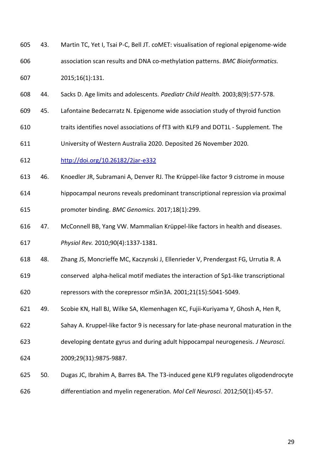- 43. Martin TC, Yet I, Tsai P-C, Bell JT. coMET: visualisation of regional epigenome-wide association scan results and DNA co-methylation patterns. *BMC Bioinformatics.*  2015;16(1):131.
- 44. Sacks D. Age limits and adolescents. *Paediatr Child Health.* 2003;8(9):577-578.
- 45. Lafontaine Bedecarratz N. Epigenome wide association study of thyroid function
- traits identifies novel associations of fT3 with KLF9 and DOT1L Supplement. The
- University of Western Australia 2020. Deposited 26 November 2020.
- http://doi.org/10.26182/2jar-e332
- 46. Knoedler JR, Subramani A, Denver RJ. The Krüppel-like factor 9 cistrome in mouse
- hippocampal neurons reveals predominant transcriptional repression via proximal

promoter binding. *BMC Genomics.* 2017;18(1):299.

- 47. McConnell BB, Yang VW. Mammalian Krüppel-like factors in health and diseases. *Physiol Rev.* 2010;90(4):1337-1381.
- 48. Zhang JS, Moncrieffe MC, Kaczynski J, Ellenrieder V, Prendergast FG, Urrutia R. A
- conserved alpha-helical motif mediates the interaction of Sp1-like transcriptional

repressors with the corepressor mSin3A. 2001;21(15):5041-5049.

- 49. Scobie KN, Hall BJ, Wilke SA, Klemenhagen KC, Fujii-Kuriyama Y, Ghosh A, Hen R,
- Sahay A. Kruppel-like factor 9 is necessary for late-phase neuronal maturation in the
- developing dentate gyrus and during adult hippocampal neurogenesis. *J Neurosci.*
- 2009;29(31):9875-9887.
- 50. Dugas JC, Ibrahim A, Barres BA. The T3-induced gene KLF9 regulates oligodendrocyte
- differentiation and myelin regeneration. *Mol Cell Neurosci.* 2012;50(1):45-57.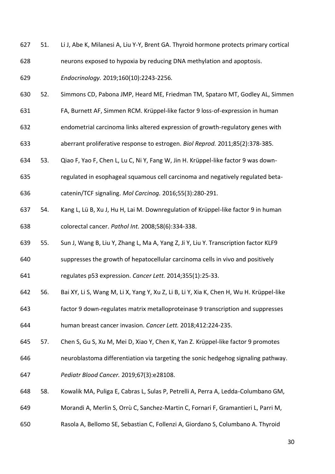- 51. Li J, Abe K, Milanesi A, Liu Y-Y, Brent GA. Thyroid hormone protects primary cortical neurons exposed to hypoxia by reducing DNA methylation and apoptosis.
- *Endocrinology.* 2019;160(10):2243-2256.
- 52. Simmons CD, Pabona JMP, Heard ME, Friedman TM, Spataro MT, Godley AL, Simmen
- FA, Burnett AF, Simmen RCM. Krüppel-like factor 9 loss-of-expression in human
- endometrial carcinoma links altered expression of growth-regulatory genes with
- aberrant proliferative response to estrogen. *Biol Reprod.* 2011;85(2):378-385.
- 53. Qiao F, Yao F, Chen L, Lu C, Ni Y, Fang W, Jin H. Krüppel-like factor 9 was down-
- regulated in esophageal squamous cell carcinoma and negatively regulated beta-
- catenin/TCF signaling. *Mol Carcinog.* 2016;55(3):280-291.
- 54. Kang L, Lü B, Xu J, Hu H, Lai M. Downregulation of Krüppel-like factor 9 in human colorectal cancer. *Pathol Int.* 2008;58(6):334-338.
- 55. Sun J, Wang B, Liu Y, Zhang L, Ma A, Yang Z, Ji Y, Liu Y. Transcription factor KLF9
- suppresses the growth of hepatocellular carcinoma cells in vivo and positively
- regulates p53 expression. *Cancer Lett.* 2014;355(1):25-33.
- 56. Bai XY, Li S, Wang M, Li X, Yang Y, Xu Z, Li B, Li Y, Xia K, Chen H, Wu H. Krüppel-like
- factor 9 down-regulates matrix metalloproteinase 9 transcription and suppresses human breast cancer invasion. *Cancer Lett.* 2018;412:224-235.
- 57. Chen S, Gu S, Xu M, Mei D, Xiao Y, Chen K, Yan Z. Krüppel‐like factor 9 promotes
- neuroblastoma differentiation via targeting the sonic hedgehog signaling pathway.
- *Pediatr Blood Cancer.* 2019;67(3):e28108.
- 58. Kowalik MA, Puliga E, Cabras L, Sulas P, Petrelli A, Perra A, Ledda-Columbano GM,
- Morandi A, Merlin S, Orrù C, Sanchez-Martin C, Fornari F, Gramantieri L, Parri M,
- Rasola A, Bellomo SE, Sebastian C, Follenzi A, Giordano S, Columbano A. Thyroid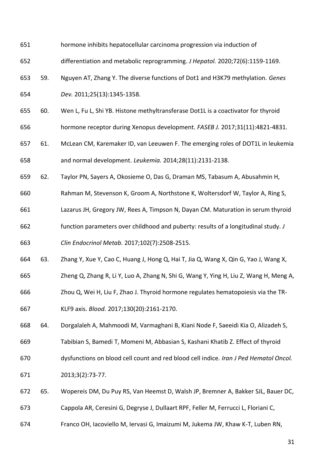- hormone inhibits hepatocellular carcinoma progression via induction of
- differentiation and metabolic reprogramming. *J Hepatol.* 2020;72(6):1159-1169.
- 59. Nguyen AT, Zhang Y. The diverse functions of Dot1 and H3K79 methylation. *Genes*
- *Dev.* 2011;25(13):1345-1358.
- 60. Wen L, Fu L, Shi YB. Histone methyltransferase Dot1L is a coactivator for thyroid
- hormone receptor during Xenopus development. *FASEB J.* 2017;31(11):4821-4831.
- 61. McLean CM, Karemaker ID, van Leeuwen F. The emerging roles of DOT1L in leukemia and normal development. *Leukemia.* 2014;28(11):2131-2138.
- 62. Taylor PN, Sayers A, Okosieme O, Das G, Draman MS, Tabasum A, Abusahmin H,
- Rahman M, Stevenson K, Groom A, Northstone K, Woltersdorf W, Taylor A, Ring S,
- Lazarus JH, Gregory JW, Rees A, Timpson N, Dayan CM. Maturation in serum thyroid
- function parameters over childhood and puberty: results of a longitudinal study. *J Clin Endocrinol Metab.* 2017;102(7):2508-2515.
- 63. Zhang Y, Xue Y, Cao C, Huang J, Hong Q, Hai T, Jia Q, Wang X, Qin G, Yao J, Wang X,
- Zheng Q, Zhang R, Li Y, Luo A, Zhang N, Shi G, Wang Y, Ying H, Liu Z, Wang H, Meng A,
- Zhou Q, Wei H, Liu F, Zhao J. Thyroid hormone regulates hematopoiesis via the TR-
- KLF9 axis. *Blood.* 2017;130(20):2161-2170.
- 64. Dorgalaleh A, Mahmoodi M, Varmaghani B, Kiani Node F, Saeeidi Kia O, Alizadeh S,
- Tabibian S, Bamedi T, Momeni M, Abbasian S, Kashani Khatib Z. Effect of thyroid
- dysfunctions on blood cell count and red blood cell indice. *Iran J Ped Hematol Oncol.*
- 2013;3(2):73-77.
- 65. Wopereis DM, Du Puy RS, Van Heemst D, Walsh JP, Bremner A, Bakker SJL, Bauer DC,
- Cappola AR, Ceresini G, Degryse J, Dullaart RPF, Feller M, Ferrucci L, Floriani C,
- Franco OH, Iacoviello M, Iervasi G, Imaizumi M, Jukema JW, Khaw K-T, Luben RN,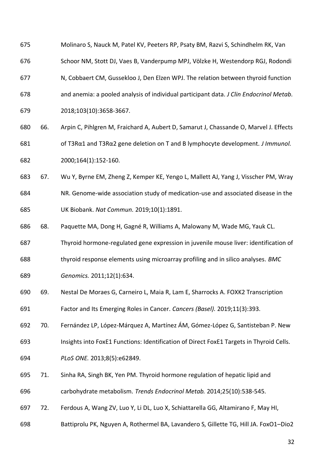- Molinaro S, Nauck M, Patel KV, Peeters RP, Psaty BM, Razvi S, Schindhelm RK, Van
- Schoor NM, Stott DJ, Vaes B, Vanderpump MPJ, Völzke H, Westendorp RGJ, Rodondi
- N, Cobbaert CM, Gussekloo J, Den Elzen WPJ. The relation between thyroid function
- and anemia: a pooled analysis of individual participant data. *J Clin Endocrinol Metab.*
- 2018;103(10):3658-3667.
- 66. Arpin C, Pihlgren M, Fraichard A, Aubert D, Samarut J, Chassande O, Marvel J. Effects of T3Rα1 and T3Rα2 gene deletion on T and B lymphocyte development. *J Immunol.*  2000;164(1):152-160.
- 67. Wu Y, Byrne EM, Zheng Z, Kemper KE, Yengo L, Mallett AJ, Yang J, Visscher PM, Wray
- NR. Genome-wide association study of medication-use and associated disease in the
- UK Biobank. *Nat Commun.* 2019;10(1):1891.
- 68. Paquette MA, Dong H, Gagné R, Williams A, Malowany M, Wade MG, Yauk CL.
- Thyroid hormone-regulated gene expression in juvenile mouse liver: identification of
- thyroid response elements using microarray profiling and in silico analyses. *BMC*
- *Genomics.* 2011;12(1):634.
- 69. Nestal De Moraes G, Carneiro L, Maia R, Lam E, Sharrocks A. FOXK2 Transcription
- Factor and Its Emerging Roles in Cancer. *Cancers (Basel).* 2019;11(3):393.
- 70. Fernández LP, López-Márquez A, Martínez ÁM, Gómez-López G, Santisteban P. New
- Insights into FoxE1 Functions: Identification of Direct FoxE1 Targets in Thyroid Cells.
- *PLoS ONE.* 2013;8(5):e62849.
- 71. Sinha RA, Singh BK, Yen PM. Thyroid hormone regulation of hepatic lipid and
- carbohydrate metabolism. *Trends Endocrinol Metab.* 2014;25(10):538-545.
- 72. Ferdous A, Wang ZV, Luo Y, Li DL, Luo X, Schiattarella GG, Altamirano F, May HI,
- Battiprolu PK, Nguyen A, Rothermel BA, Lavandero S, Gillette TG, Hill JA. FoxO1–Dio2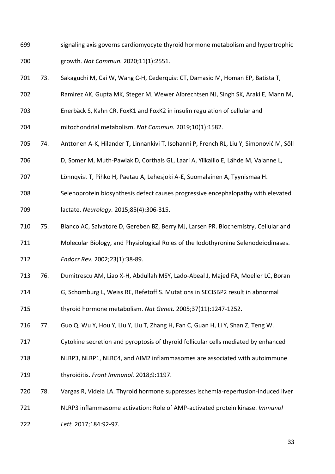- signaling axis governs cardiomyocyte thyroid hormone metabolism and hypertrophic growth. *Nat Commun.* 2020;11(1):2551.
- 73. Sakaguchi M, Cai W, Wang C-H, Cederquist CT, Damasio M, Homan EP, Batista T,
- Ramirez AK, Gupta MK, Steger M, Wewer Albrechtsen NJ, Singh SK, Araki E, Mann M,
- Enerbäck S, Kahn CR. FoxK1 and FoxK2 in insulin regulation of cellular and
- mitochondrial metabolism. *Nat Commun.* 2019;10(1):1582.
- 74. Anttonen A-K, Hilander T, Linnankivi T, Isohanni P, French RL, Liu Y, Simonović M, Söll
- D, Somer M, Muth-Pawlak D, Corthals GL, Laari A, Ylikallio E, Lähde M, Valanne L,
- Lönnqvist T, Pihko H, Paetau A, Lehesjoki A-E, Suomalainen A, Tyynismaa H.
- Selenoprotein biosynthesis defect causes progressive encephalopathy with elevated
- lactate. *Neurology.* 2015;85(4):306-315.
- 75. Bianco AC, Salvatore D, Gereben BZ, Berry MJ, Larsen PR. Biochemistry, Cellular and
- Molecular Biology, and Physiological Roles of the Iodothyronine Selenodeiodinases.
- *Endocr Rev.* 2002;23(1):38-89.
- 76. Dumitrescu AM, Liao X-H, Abdullah MSY, Lado-Abeal J, Majed FA, Moeller LC, Boran
- G, Schomburg L, Weiss RE, Refetoff S. Mutations in SECISBP2 result in abnormal
- thyroid hormone metabolism. *Nat Genet.* 2005;37(11):1247-1252.
- 77. Guo Q, Wu Y, Hou Y, Liu Y, Liu T, Zhang H, Fan C, Guan H, Li Y, Shan Z, Teng W.
- Cytokine secretion and pyroptosis of thyroid follicular cells mediated by enhanced
- NLRP3, NLRP1, NLRC4, and AIM2 inflammasomes are associated with autoimmune
- thyroiditis. *Front Immunol.* 2018;9:1197.
- 78. Vargas R, Videla LA. Thyroid hormone suppresses ischemia-reperfusion-induced liver
- NLRP3 inflammasome activation: Role of AMP-activated protein kinase. *Immunol*
- *Lett.* 2017;184:92-97.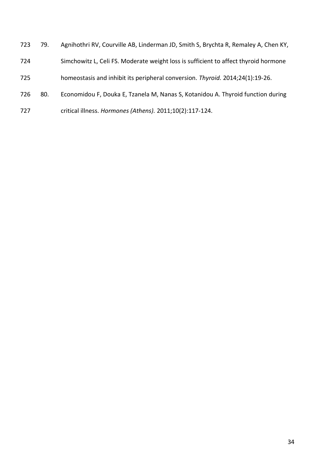79. Agnihothri RV, Courville AB, Linderman JD, Smith S, Brychta R, Remaley A, Chen KY, Simchowitz L, Celi FS. Moderate weight loss is sufficient to affect thyroid hormone homeostasis and inhibit its peripheral conversion. *Thyroid.* 2014;24(1):19-26. 80. Economidou F, Douka E, Tzanela M, Nanas S, Kotanidou A. Thyroid function during critical illness. *Hormones (Athens).* 2011;10(2):117-124.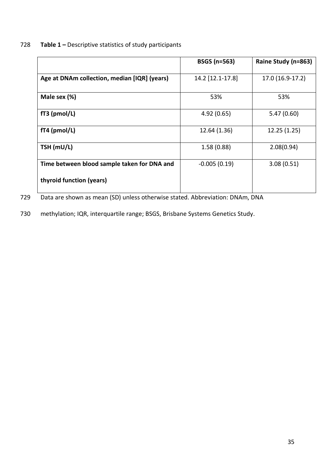# 728 **Table 1 –** Descriptive statistics of study participants

|                                              | <b>BSGS (n=563)</b> | Raine Study (n=863) |
|----------------------------------------------|---------------------|---------------------|
| Age at DNAm collection, median [IQR] (years) | 14.2 [12.1-17.8]    | 17.0 (16.9-17.2)    |
| Male sex (%)                                 | 53%                 | 53%                 |
| $fT3$ (pmol/L)                               | 4.92(0.65)          | 5.47(0.60)          |
| $fT4$ (pmol/L)                               | 12.64 (1.36)        | 12.25 (1.25)        |
| TSH (mU/L)                                   | 1.58(0.88)          | 2.08(0.94)          |
| Time between blood sample taken for DNA and  | $-0.005(0.19)$      | 3.08(0.51)          |
| thyroid function (years)                     |                     |                     |

729 Data are shown as mean (SD) unless otherwise stated. Abbreviation: DNAm, DNA

730 methylation; IQR, interquartile range; BSGS, Brisbane Systems Genetics Study.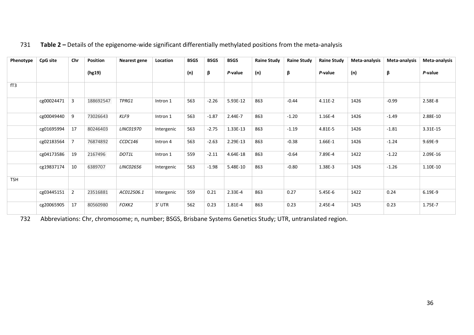| Phenotype       | CpG site   | Chr            | <b>Position</b> | Nearest gene     | Location   | <b>BSGS</b> | <b>BSGS</b> | <b>BSGS</b> | <b>Raine Study</b> | <b>Raine Study</b> | <b>Raine Study</b> | Meta-analysis | Meta-analysis | Meta-analysis |
|-----------------|------------|----------------|-----------------|------------------|------------|-------------|-------------|-------------|--------------------|--------------------|--------------------|---------------|---------------|---------------|
|                 |            |                | (hg19)          |                  |            | (n)         | β           | P-value     | (n)                | β                  | P-value            | (n)           | β             | P-value       |
| fT <sub>3</sub> |            |                |                 |                  |            |             |             |             |                    |                    |                    |               |               |               |
|                 | cg00024471 | 3              | 188692547       | TPRG1            | Intron 1   | 563         | $-2.26$     | 5.93E-12    | 863                | $-0.44$            | $4.11E-2$          | 1426          | $-0.99$       | 2.58E-8       |
|                 | cg00049440 | 9              | 73026643        | KLF9             | Intron 1   | 563         | $-1.87$     | 2.44E-7     | 863                | $-1.20$            | 1.16E-4            | 1426          | $-1.49$       | 2.88E-10      |
|                 | cg01695994 | 17             | 80246403        | <b>LINC01970</b> | Intergenic | 563         | $-2.75$     | 1.33E-13    | 863                | $-1.19$            | 4.81E-5            | 1426          | $-1.81$       | 3.31E-15      |
|                 | cg02183564 |                | 76874892        | CCDC146          | Intron 4   | 563         | $-2.63$     | 2.29E-13    | 863                | $-0.38$            | 1.66E-1            | 1426          | $-1.24$       | 9.69E-9       |
|                 | cg04173586 | 19             | 2167496         | DOT1L            | Intron 1   | 559         | $-2.11$     | 4.64E-18    | 863                | $-0.64$            | 7.89E-4            | 1422          | $-1.22$       | 2.09E-16      |
|                 | cg19837174 | 10             | 6389707         | <b>LINC02656</b> | Intergenic | 563         | $-1.98$     | 5.48E-10    | 863                | $-0.80$            | 1.38E-3            | 1426          | $-1.26$       | 1.10E-10      |
| <b>TSH</b>      |            |                |                 |                  |            |             |             |             |                    |                    |                    |               |               |               |
|                 | cg03445151 | $\overline{2}$ | 23516881        | AC012506.1       | Intergenic | 559         | 0.21        | $2.33E-4$   | 863                | 0.27               | 5.45E-6            | 1422          | 0.24          | 6.19E-9       |
|                 | cg20065905 | 17             | 80560980        | FOXK2            | 3' UTR     | 562         | 0.23        | 1.81E-4     | 863                | 0.23               | 2.45E-4            | 1425          | 0.23          | 1.75E-7       |

# 731 **Table 2 –** Details of the epigenome-wide significant differentially methylated positions from the meta-analysis

732 Abbreviations: Chr, chromosome; n, number; BSGS, Brisbane Systems Genetics Study; UTR, untranslated region.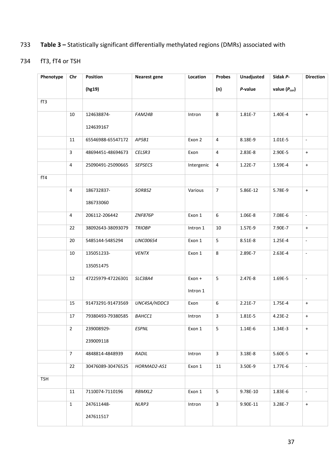# 733 **Table 3 –** Statistically significant differentially methylated regions (DMRs) associated with

# 734 fT3, fT4 or TSH

| Phenotype  | Chr            | Position          | <b>Nearest gene</b> | Location   | Probes         | Unadjusted  | Sidak P-     | <b>Direction</b>            |
|------------|----------------|-------------------|---------------------|------------|----------------|-------------|--------------|-----------------------------|
|            |                | (hg19)            |                     |            | (n)            | P-value     | value (Pcor) |                             |
| fT3        |                |                   |                     |            |                |             |              |                             |
|            | 10             | 124638874-        | FAM24B              | Intron     | 8              | 1.81E-7     | 1.40E-4      | $+$                         |
|            |                | 124639167         |                     |            |                |             |              |                             |
|            | 11             | 65546988-65547172 | AP5B1               | Exon 2     | 4              | 8.18E-9     | $1.01E - 5$  | $\omega$                    |
|            | 3              | 48694451-48694673 | CELSR3              | Exon       | 4              | 2.83E-8     | 2.90E-5      | $+$                         |
|            | 4              | 25090491-25090665 | <b>SEPSECS</b>      | Intergenic | 4              | 1.22E-7     | 1.59E-4      | $\pm$                       |
| fT4        |                |                   |                     |            |                |             |              |                             |
|            | $\overline{4}$ | 186732837-        | SORBS2              | Various    | $\overline{7}$ | 5.86E-12    | 5.78E-9      | $\pm$                       |
|            |                | 186733060         |                     |            |                |             |              |                             |
|            | $\overline{4}$ | 206112-206442     | <b>ZNF876P</b>      | Exon 1     | 6              | 1.06E-8     | 7.08E-6      | $\sim$                      |
|            | 22             | 38092643-38093079 | <b>TRIOBP</b>       | Intron 1   | $10\,$         | 1.57E-9     | 7.90E-7      | $\ddot{}$                   |
|            | 20             | 5485144-5485294   | LINC00654           | Exon 1     | 5              | 8.51E-8     | 1.25E-4      | $\mathcal{L}_{\mathcal{A}}$ |
|            | 10             | 135051233-        | <b>VENTX</b>        | Exon 1     | 8              | 2.89E-7     | 2.63E-4      | $\mathcal{L}_{\mathcal{A}}$ |
|            |                | 135051475         |                     |            |                |             |              |                             |
|            | 12             | 47225979-47226301 | SLC38A4             | Exon +     | 5              | 2.47E-8     | 1.69E-5      | $\omega$                    |
|            |                |                   |                     | Intron 1   |                |             |              |                             |
|            | 15             | 91473291-91473569 | UNC45A/HDDC3        | Exon       | 6              | $2.21E - 7$ | 1.75E-4      | $+$                         |
|            | 17             | 79380493-79380585 | BAHCC1              | Intron     | $\mathbf{3}$   | 1.81E-5     | 4.23E-2      | $\ddot{}$                   |
|            | $\overline{2}$ | 239008929-        | ESPNL               | Exon 1     | 5              | $1.14E-6$   | $1.34E - 3$  | $+$                         |
|            |                | 239009118         |                     |            |                |             |              |                             |
|            | $\overline{7}$ | 4848814-4848939   | RADIL               | Intron     | $\mathbf{3}$   | $3.18E - 8$ | 5.60E-5      | $+$                         |
|            | 22             | 30476089-30476525 | HORMAD2-AS1         | Exon 1     | 11             | 3.50E-9     | 1.77E-6      | $\blacksquare$              |
| <b>TSH</b> |                |                   |                     |            |                |             |              |                             |
|            | 11             | 7110074-7110196   | RBMXL2              | Exon 1     | 5              | 9.78E-10    | $1.83E-6$    | $\mathcal{L}_{\mathcal{A}}$ |
|            | $\mathbf{1}$   | 247611448-        | NLRP3               | Intron     | $\mathbf{3}$   | 9.90E-11    | 3.28E-7      | $+$                         |
|            |                | 247611517         |                     |            |                |             |              |                             |
|            |                |                   |                     |            |                |             |              |                             |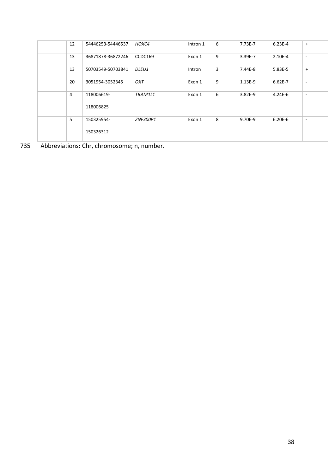| 12 | 54446253-54446537       | HOXC4        | Intron 1 | 6 | 7.73E-7   | $6.23E-4$   | $+$                      |
|----|-------------------------|--------------|----------|---|-----------|-------------|--------------------------|
| 13 | 36871878-36872246       | CCDC169      | Exon 1   | 9 | 3.39E-7   | $2.10E - 4$ | $\overline{\phantom{a}}$ |
| 13 | 50703549-50703841       | <i>DLEU1</i> | Intron   | 3 | 7.44E-8   | $5.83E - 5$ | $+$                      |
| 20 | 3051954-3052345         | OXT          | Exon 1   | 9 | $1.13E-9$ | $6.62E - 7$ | $\overline{\phantom{a}}$ |
| 4  | 118006619-<br>118006825 | TRAM1L1      | Exon 1   | 6 | $3.82E-9$ | $4.24E - 6$ | $\overline{\phantom{a}}$ |
| 5  | 150325954-<br>150326312 | ZNF300P1     | Exon 1   | 8 | 9.70E-9   | $6.20E - 6$ | $\overline{\phantom{a}}$ |

Abbreviations**:** Chr, chromosome; n, number.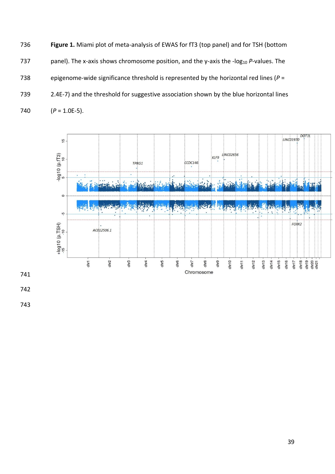**Figure 1.** Miami plot of meta-analysis of EWAS for fT3 (top panel) and for TSH (bottom 737 panel). The x-axis shows chromosome position, and the y-axis the -log<sub>10</sub> P-values. The epigenome-wide significance threshold is represented by the horizontal red lines (*P* = 2.4E-7) and the threshold for suggestive association shown by the blue horizontal lines  $(P = 1.0E-5)$ .

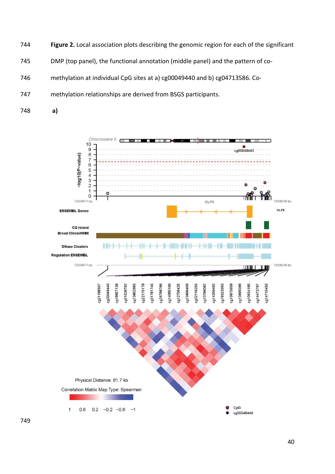- **Figure 2.** Local association plots describing the genomic region for each of the significant
- DMP (top panel), the functional annotation (middle panel) and the pattern of co-

methylation at individual CpG sites at a) cg00049440 and b) cg04713586. Co-

- methylation relationships are derived from BSGS participants.
- **a)**